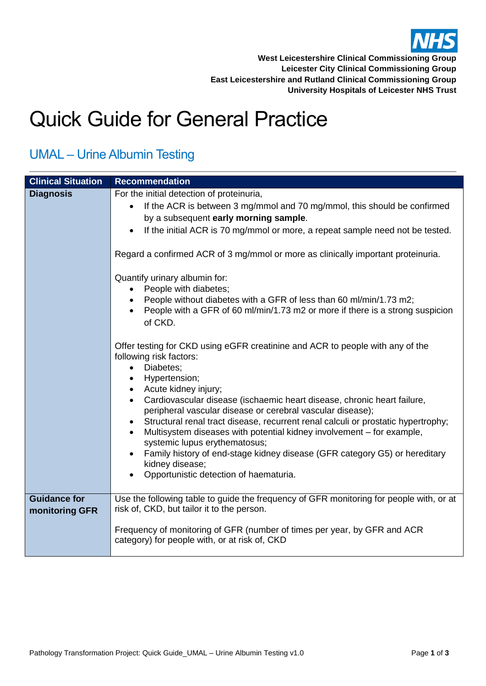

## Quick Guide for General Practice

| <b>Clinical Situation</b>             | <b>Recommendation</b>                                                                                                                                                                                                                                                                                                         |
|---------------------------------------|-------------------------------------------------------------------------------------------------------------------------------------------------------------------------------------------------------------------------------------------------------------------------------------------------------------------------------|
| <b>Diagnosis</b>                      | For the initial detection of proteinuria,                                                                                                                                                                                                                                                                                     |
|                                       | If the ACR is between 3 mg/mmol and 70 mg/mmol, this should be confirmed<br>$\bullet$                                                                                                                                                                                                                                         |
|                                       | by a subsequent early morning sample.                                                                                                                                                                                                                                                                                         |
|                                       | If the initial ACR is 70 mg/mmol or more, a repeat sample need not be tested.<br>$\bullet$                                                                                                                                                                                                                                    |
|                                       | Regard a confirmed ACR of 3 mg/mmol or more as clinically important proteinuria.                                                                                                                                                                                                                                              |
|                                       | Quantify urinary albumin for:<br>People with diabetes;                                                                                                                                                                                                                                                                        |
|                                       | People without diabetes with a GFR of less than 60 ml/min/1.73 m2;<br>People with a GFR of 60 ml/min/1.73 m2 or more if there is a strong suspicion<br>of CKD.                                                                                                                                                                |
|                                       | Offer testing for CKD using eGFR creatinine and ACR to people with any of the<br>following risk factors:<br>Diabetes;<br>$\bullet$<br>Hypertension;<br>$\bullet$<br>Acute kidney injury;<br>$\bullet$                                                                                                                         |
|                                       | Cardiovascular disease (ischaemic heart disease, chronic heart failure,<br>$\bullet$<br>peripheral vascular disease or cerebral vascular disease);<br>Structural renal tract disease, recurrent renal calculi or prostatic hypertrophy;<br>$\bullet$<br>Multisystem diseases with potential kidney involvement - for example, |
|                                       | systemic lupus erythematosus;<br>Family history of end-stage kidney disease (GFR category G5) or hereditary<br>kidney disease;<br>Opportunistic detection of haematuria.                                                                                                                                                      |
| <b>Guidance for</b><br>monitoring GFR | Use the following table to guide the frequency of GFR monitoring for people with, or at<br>risk of, CKD, but tailor it to the person.                                                                                                                                                                                         |
|                                       | Frequency of monitoring of GFR (number of times per year, by GFR and ACR<br>category) for people with, or at risk of, CKD                                                                                                                                                                                                     |

## UMAL – Urine Albumin Testing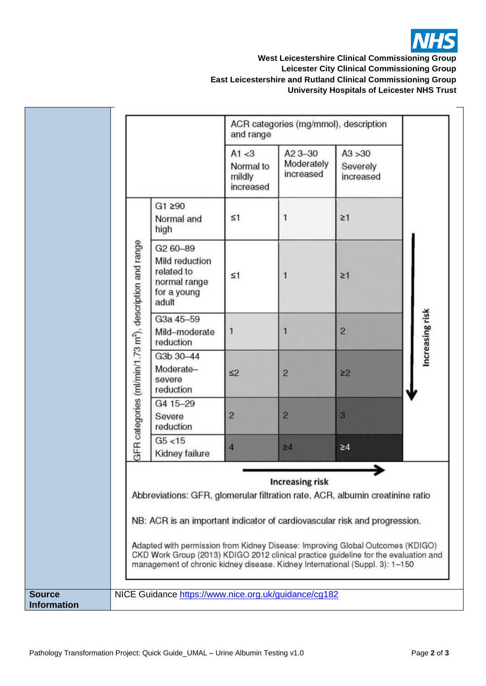

## **West Leicestershire Clinical Commissioning Group Leicester City Clinical Commissioning Group East Leicestershire and Rutland Clinical Commissioning Group University Hospitals of Leicester NHS Trust**

|                                     |                                                                     |                                                                                                                                                                                                                                                                                                                                                                                                                     | and range                                  | ACR categories (mg/mmol), description |                                  |                 |
|-------------------------------------|---------------------------------------------------------------------|---------------------------------------------------------------------------------------------------------------------------------------------------------------------------------------------------------------------------------------------------------------------------------------------------------------------------------------------------------------------------------------------------------------------|--------------------------------------------|---------------------------------------|----------------------------------|-----------------|
|                                     |                                                                     |                                                                                                                                                                                                                                                                                                                                                                                                                     | A1 < 3<br>Normal to<br>mildly<br>increased | A23-30<br>Moderately<br>increased     | A3 > 30<br>Severely<br>increased |                 |
|                                     |                                                                     | G1 290<br>Normal and<br>high                                                                                                                                                                                                                                                                                                                                                                                        | $\leq 1$                                   |                                       | $\geq 1$                         |                 |
|                                     | GFR categories (ml/min/1.73 m <sup>2</sup> ), description and range | G <sub>2</sub> 60-89<br>Mild reduction<br>related to<br>normal range<br>for a young<br>adult                                                                                                                                                                                                                                                                                                                        | $\leq 1$                                   |                                       | $\geq 1$                         |                 |
|                                     |                                                                     | G3a 45-59<br>Mild-moderate<br>reduction                                                                                                                                                                                                                                                                                                                                                                             | 1                                          | 1                                     | $\overline{2}$                   | Increasing risk |
|                                     |                                                                     | G3b 30-44<br>Moderate-<br>severe<br>reduction                                                                                                                                                                                                                                                                                                                                                                       | $\leq$                                     | $\overline{2}$                        | $\geq$ 2                         |                 |
|                                     |                                                                     | G4 15-29<br>Severe<br>reduction                                                                                                                                                                                                                                                                                                                                                                                     | $\overline{2}$                             | $\overline{2}$                        | $\overline{3}$                   |                 |
|                                     |                                                                     | G5 < 15<br>Kidney failure                                                                                                                                                                                                                                                                                                                                                                                           | $\overline{4}$                             | $\geq 4$                              | $\geq 4$                         |                 |
|                                     |                                                                     | Abbreviations: GFR, glomerular filtration rate, ACR, albumin creatinine ratio<br>NB: ACR is an important indicator of cardiovascular risk and progression.<br>Adapted with permission from Kidney Disease: Improving Global Outcomes (KDIGO)<br>CKD Work Group (2013) KDIGO 2012 clinical practice guideline for the evaluation and<br>management of chronic kidney disease. Kidney International (Suppl. 3): 1-150 |                                            | <b>Increasing risk</b>                |                                  |                 |
| <b>Source</b><br><b>Information</b> |                                                                     | NICE Guidance https://www.nice.org.uk/quidance/cg182                                                                                                                                                                                                                                                                                                                                                                |                                            |                                       |                                  |                 |